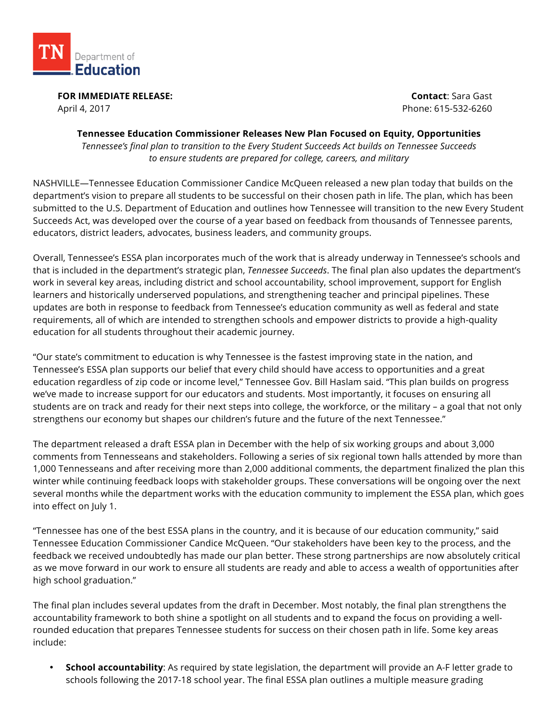

**FOR IMMEDIATE RELEASE:**  April 4, 2017

**Contact**: Sara Gast Phone: 615-532-6260

## **Tennessee Education Commissioner Releases New Plan Focused on Equity, Opportunities**

*Tennessee's final plan to transition to the Every Student Succeeds Act builds on Tennessee Succeeds to ensure students are prepared for college, careers, and military*

NASHVILLE—Tennessee Education Commissioner Candice McQueen released a new plan today that builds on the department's vision to prepare all students to be successful on their chosen path in life. The plan, which has been submitted to the U.S. Department of Education and outlines how Tennessee will transition to the new Every Student Succeeds Act, was developed over the course of a year based on feedback from thousands of Tennessee parents, educators, district leaders, advocates, business leaders, and community groups.

Overall, Tennessee's ESSA plan incorporates much of the work that is already underway in Tennessee's schools and that is included in the department's strategic plan, *Tennessee Succeeds*. The final plan also updates the department's work in several key areas, including district and school accountability, school improvement, support for English learners and historically underserved populations, and strengthening teacher and principal pipelines. These updates are both in response to feedback from Tennessee's education community as well as federal and state requirements, all of which are intended to strengthen schools and empower districts to provide a high-quality education for all students throughout their academic journey.

"Our state's commitment to education is why Tennessee is the fastest improving state in the nation, and Tennessee's ESSA plan supports our belief that every child should have access to opportunities and a great education regardless of zip code or income level," Tennessee Gov. Bill Haslam said. "This plan builds on progress we've made to increase support for our educators and students. Most importantly, it focuses on ensuring all students are on track and ready for their next steps into college, the workforce, or the military – a goal that not only strengthens our economy but shapes our children's future and the future of the next Tennessee."

The department released a draft ESSA plan in December with the help of six working groups and about 3,000 comments from Tennesseans and stakeholders. Following a series of six regional town halls attended by more than 1,000 Tennesseans and after receiving more than 2,000 additional comments, the department finalized the plan this winter while continuing feedback loops with stakeholder groups. These conversations will be ongoing over the next several months while the department works with the education community to implement the ESSA plan, which goes into effect on July 1.

"Tennessee has one of the best ESSA plans in the country, and it is because of our education community," said Tennessee Education Commissioner Candice McQueen. "Our stakeholders have been key to the process, and the feedback we received undoubtedly has made our plan better. These strong partnerships are now absolutely critical as we move forward in our work to ensure all students are ready and able to access a wealth of opportunities after high school graduation."

The final plan includes several updates from the draft in December. Most notably, the final plan strengthens the accountability framework to both shine a spotlight on all students and to expand the focus on providing a wellrounded education that prepares Tennessee students for success on their chosen path in life. Some key areas include:

• **School accountability**: As required by state legislation, the department will provide an A-F letter grade to schools following the 2017-18 school year. The final ESSA plan outlines a multiple measure grading